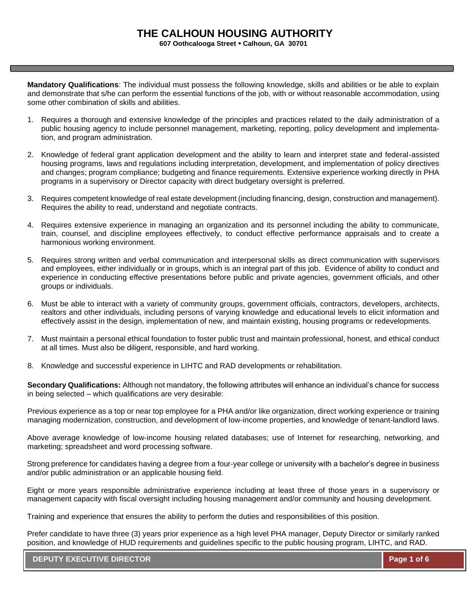**607 Oothcalooga Street** ▪ **Calhoun, GA 30701**

**Mandatory Qualifications**: The individual must possess the following knowledge, skills and abilities or be able to explain and demonstrate that s/he can perform the essential functions of the job, with or without reasonable accommodation, using some other combination of skills and abilities.

- 1. Requires a thorough and extensive knowledge of the principles and practices related to the daily administration of a public housing agency to include personnel management, marketing, reporting, policy development and implementation, and program administration.
- 2. Knowledge of federal grant application development and the ability to learn and interpret state and federal-assisted housing programs, laws and regulations including interpretation, development, and implementation of policy directives and changes; program compliance; budgeting and finance requirements. Extensive experience working directly in PHA programs in a supervisory or Director capacity with direct budgetary oversight is preferred.
- 3. Requires competent knowledge of real estate development (including financing, design, construction and management). Requires the ability to read, understand and negotiate contracts.
- 4. Requires extensive experience in managing an organization and its personnel including the ability to communicate, train, counsel, and discipline employees effectively, to conduct effective performance appraisals and to create a harmonious working environment.
- 5. Requires strong written and verbal communication and interpersonal skills as direct communication with supervisors and employees, either individually or in groups, which is an integral part of this job. Evidence of ability to conduct and experience in conducting effective presentations before public and private agencies, government officials, and other groups or individuals.
- 6. Must be able to interact with a variety of community groups, government officials, contractors, developers, architects, realtors and other individuals, including persons of varying knowledge and educational levels to elicit information and effectively assist in the design, implementation of new, and maintain existing, housing programs or redevelopments.
- 7. Must maintain a personal ethical foundation to foster public trust and maintain professional, honest, and ethical conduct at all times. Must also be diligent, responsible, and hard working.
- 8. Knowledge and successful experience in LIHTC and RAD developments or rehabilitation.

**Secondary Qualifications:** Although not mandatory, the following attributes will enhance an individual's chance for success in being selected – which qualifications are very desirable:

Previous experience as a top or near top employee for a PHA and/or like organization, direct working experience or training managing modernization, construction, and development of low-income properties, and knowledge of tenant-landlord laws.

Above average knowledge of low-income housing related databases; use of Internet for researching, networking, and marketing; spreadsheet and word processing software.

Strong preference for candidates having a degree from a four-year college or university with a bachelor's degree in business and/or public administration or an applicable housing field.

Eight or more years responsible administrative experience including at least three of those years in a supervisory or management capacity with fiscal oversight including housing management and/or community and housing development.

Training and experience that ensures the ability to perform the duties and responsibilities of this position.

Prefer candidate to have three (3) years prior experience as a high level PHA manager, Deputy Director or similarly ranked position, and knowledge of HUD requirements and guidelines specific to the public housing program, LIHTC, and RAD.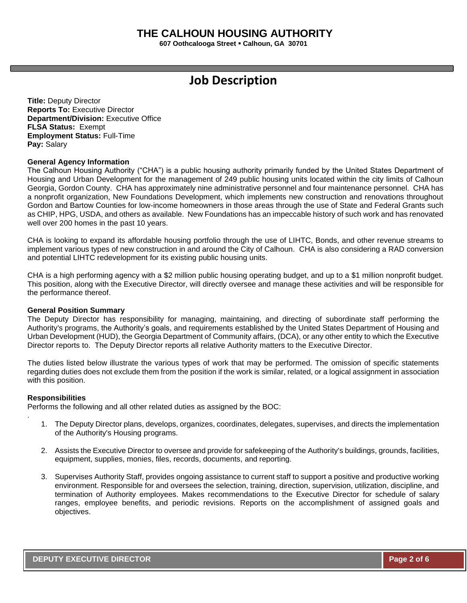**607 Oothcalooga Street** ▪ **Calhoun, GA 30701**

# **Job Description**

**Title:** Deputy Director **Reports To:** Executive Director **Department/Division:** Executive Office **FLSA Status:** Exempt **Employment Status:** Full-Time **Pay:** Salary

### **General Agency Information**

The Calhoun Housing Authority ("CHA") is a public housing authority primarily funded by the United States Department of Housing and Urban Development for the management of 249 public housing units located within the city limits of Calhoun Georgia, Gordon County. CHA has approximately nine administrative personnel and four maintenance personnel. CHA has a nonprofit organization, New Foundations Development, which implements new construction and renovations throughout Gordon and Bartow Counties for low-income homeowners in those areas through the use of State and Federal Grants such as CHIP, HPG, USDA, and others as available. New Foundations has an impeccable history of such work and has renovated well over 200 homes in the past 10 years.

CHA is looking to expand its affordable housing portfolio through the use of LIHTC, Bonds, and other revenue streams to implement various types of new construction in and around the City of Calhoun. CHA is also considering a RAD conversion and potential LIHTC redevelopment for its existing public housing units.

CHA is a high performing agency with a \$2 million public housing operating budget, and up to a \$1 million nonprofit budget. This position, along with the Executive Director, will directly oversee and manage these activities and will be responsible for the performance thereof.

### **General Position Summary**

The Deputy Director has responsibility for managing, maintaining, and directing of subordinate staff performing the Authority's programs, the Authority's goals, and requirements established by the United States Department of Housing and Urban Development (HUD), the Georgia Department of Community affairs, (DCA), or any other entity to which the Executive Director reports to. The Deputy Director reports all relative Authority matters to the Executive Director.

The duties listed below illustrate the various types of work that may be performed. The omission of specific statements regarding duties does not exclude them from the position if the work is similar, related, or a logical assignment in association with this position.

### **Responsibilities**

.

Performs the following and all other related duties as assigned by the BOC:

- 1. The Deputy Director plans, develops, organizes, coordinates, delegates, supervises, and directs the implementation of the Authority's Housing programs.
- 2. Assists the Executive Director to oversee and provide for safekeeping of the Authority's buildings, grounds, facilities, equipment, supplies, monies, files, records, documents, and reporting.
- 3. Supervises Authority Staff, provides ongoing assistance to current staff to support a positive and productive working environment. Responsible for and oversees the selection, training, direction, supervision, utilization, discipline, and termination of Authority employees. Makes recommendations to the Executive Director for schedule of salary ranges, employee benefits, and periodic revisions. Reports on the accomplishment of assigned goals and objectives.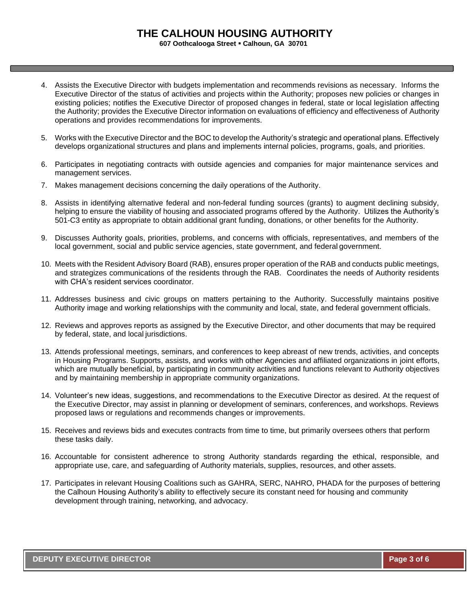**607 Oothcalooga Street** ▪ **Calhoun, GA 30701**

- 4. Assists the Executive Director with budgets implementation and recommends revisions as necessary. Informs the Executive Director of the status of activities and projects within the Authority; proposes new policies or changes in existing policies; notifies the Executive Director of proposed changes in federal, state or local legislation affecting the Authority; provides the Executive Director information on evaluations of efficiency and effectiveness of Authority operations and provides recommendations for improvements.
- 5. Works with the Executive Director and the BOC to develop the Authority's strategic and operational plans. Effectively develops organizational structures and plans and implements internal policies, programs, goals, and priorities.
- 6. Participates in negotiating contracts with outside agencies and companies for major maintenance services and management services.
- 7. Makes management decisions concerning the daily operations of the Authority.
- 8. Assists in identifying alternative federal and non-federal funding sources (grants) to augment declining subsidy, helping to ensure the viability of housing and associated programs offered by the Authority. Utilizes the Authority's 501-C3 entity as appropriate to obtain additional grant funding, donations, or other benefits for the Authority.
- 9. Discusses Authority goals, priorities, problems, and concerns with officials, representatives, and members of the local government, social and public service agencies, state government, and federal government.
- 10. Meets with the Resident Advisory Board (RAB), ensures proper operation of the RAB and conducts public meetings, and strategizes communications of the residents through the RAB. Coordinates the needs of Authority residents with CHA's resident services coordinator.
- 11. Addresses business and civic groups on matters pertaining to the Authority. Successfully maintains positive Authority image and working relationships with the community and local, state, and federal government officials.
- 12. Reviews and approves reports as assigned by the Executive Director, and other documents that may be required by federal, state, and local jurisdictions.
- 13. Attends professional meetings, seminars, and conferences to keep abreast of new trends, activities, and concepts in Housing Programs. Supports, assists, and works with other Agencies and affiliated organizations in joint efforts, which are mutually beneficial, by participating in community activities and functions relevant to Authority objectives and by maintaining membership in appropriate community organizations.
- 14. Volunteer's new ideas, suggestions, and recommendations to the Executive Director as desired. At the request of the Executive Director, may assist in planning or development of seminars, conferences, and workshops. Reviews proposed laws or regulations and recommends changes or improvements.
- 15. Receives and reviews bids and executes contracts from time to time, but primarily oversees others that perform these tasks daily.
- 16. Accountable for consistent adherence to strong Authority standards regarding the ethical, responsible, and appropriate use, care, and safeguarding of Authority materials, supplies, resources, and other assets.
- 17. Participates in relevant Housing Coalitions such as GAHRA, SERC, NAHRO, PHADA for the purposes of bettering the Calhoun Housing Authority's ability to effectively secure its constant need for housing and community development through training, networking, and advocacy.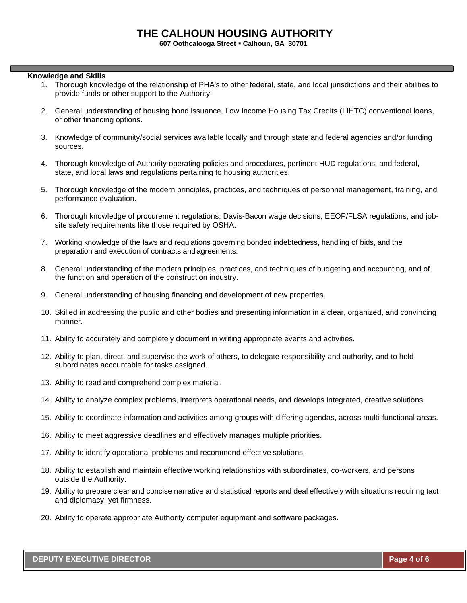**607 Oothcalooga Street** ▪ **Calhoun, GA 30701**

### **Knowledge and Skills**

- 1. Thorough knowledge of the relationship of PHA's to other federal, state, and local jurisdictions and their abilities to provide funds or other support to the Authority.
- 2. General understanding of housing bond issuance, Low Income Housing Tax Credits (LIHTC) conventional loans, or other financing options.
- 3. Knowledge of community/social services available locally and through state and federal agencies and/or funding sources.
- 4. Thorough knowledge of Authority operating policies and procedures, pertinent HUD regulations, and federal, state, and local laws and regulations pertaining to housing authorities.
- 5. Thorough knowledge of the modern principles, practices, and techniques of personnel management, training, and performance evaluation.
- 6. Thorough knowledge of procurement regulations, Davis-Bacon wage decisions, EEOP/FLSA regulations, and jobsite safety requirements like those required by OSHA.
- 7. Working knowledge of the laws and regulations governing bonded indebtedness, handling of bids, and the preparation and execution of contracts and agreements.
- 8. General understanding of the modern principles, practices, and techniques of budgeting and accounting, and of the function and operation of the construction industry.
- 9. General understanding of housing financing and development of new properties.
- 10. Skilled in addressing the public and other bodies and presenting information in a clear, organized, and convincing manner.
- 11. Ability to accurately and completely document in writing appropriate events and activities.
- 12. Ability to plan, direct, and supervise the work of others, to delegate responsibility and authority, and to hold subordinates accountable for tasks assigned.
- 13. Ability to read and comprehend complex material.
- 14. Ability to analyze complex problems, interprets operational needs, and develops integrated, creative solutions.
- 15. Ability to coordinate information and activities among groups with differing agendas, across multi-functional areas.
- 16. Ability to meet aggressive deadlines and effectively manages multiple priorities.
- 17. Ability to identify operational problems and recommend effective solutions.
- 18. Ability to establish and maintain effective working relationships with subordinates, co-workers, and persons outside the Authority.
- 19. Ability to prepare clear and concise narrative and statistical reports and deal effectively with situations requiring tact and diplomacy, yet firmness.
- 20. Ability to operate appropriate Authority computer equipment and software packages.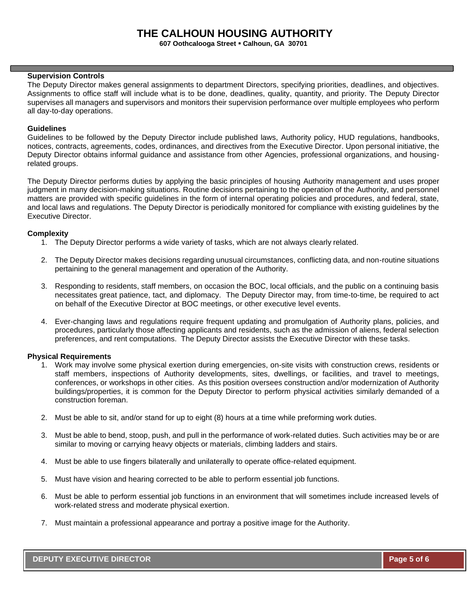**607 Oothcalooga Street** ▪ **Calhoun, GA 30701**

### **Supervision Controls**

The Deputy Director makes general assignments to department Directors, specifying priorities, deadlines, and objectives. Assignments to office staff will include what is to be done, deadlines, quality, quantity, and priority. The Deputy Director supervises all managers and supervisors and monitors their supervision performance over multiple employees who perform all day-to-day operations.

### **Guidelines**

Guidelines to be followed by the Deputy Director include published laws, Authority policy, HUD regulations, handbooks, notices, contracts, agreements, codes, ordinances, and directives from the Executive Director. Upon personal initiative, the Deputy Director obtains informal guidance and assistance from other Agencies, professional organizations, and housingrelated groups.

The Deputy Director performs duties by applying the basic principles of housing Authority management and uses proper judgment in many decision-making situations. Routine decisions pertaining to the operation of the Authority, and personnel matters are provided with specific guidelines in the form of internal operating policies and procedures, and federal, state, and local laws and regulations. The Deputy Director is periodically monitored for compliance with existing guidelines by the Executive Director.

### **Complexity**

- 1. The Deputy Director performs a wide variety of tasks, which are not always clearly related.
- 2. The Deputy Director makes decisions regarding unusual circumstances, conflicting data, and non-routine situations pertaining to the general management and operation of the Authority.
- 3. Responding to residents, staff members, on occasion the BOC, local officials, and the public on a continuing basis necessitates great patience, tact, and diplomacy. The Deputy Director may, from time-to-time, be required to act on behalf of the Executive Director at BOC meetings, or other executive level events.
- 4. Ever-changing laws and regulations require frequent updating and promulgation of Authority plans, policies, and procedures, particularly those affecting applicants and residents, such as the admission of aliens, federal selection preferences, and rent computations. The Deputy Director assists the Executive Director with these tasks.

### **Physical Requirements**

- 1. Work may involve some physical exertion during emergencies, on-site visits with construction crews, residents or staff members, inspections of Authority developments, sites, dwellings, or facilities, and travel to meetings, conferences, or workshops in other cities. As this position oversees construction and/or modernization of Authority buildings/properties, it is common for the Deputy Director to perform physical activities similarly demanded of a construction foreman.
- 2. Must be able to sit, and/or stand for up to eight (8) hours at a time while preforming work duties.
- 3. Must be able to bend, stoop, push, and pull in the performance of work-related duties. Such activities may be or are similar to moving or carrying heavy objects or materials, climbing ladders and stairs.
- 4. Must be able to use fingers bilaterally and unilaterally to operate office-related equipment.
- 5. Must have vision and hearing corrected to be able to perform essential job functions.
- 6. Must be able to perform essential job functions in an environment that will sometimes include increased levels of work-related stress and moderate physical exertion.
- 7. Must maintain a professional appearance and portray a positive image for the Authority.